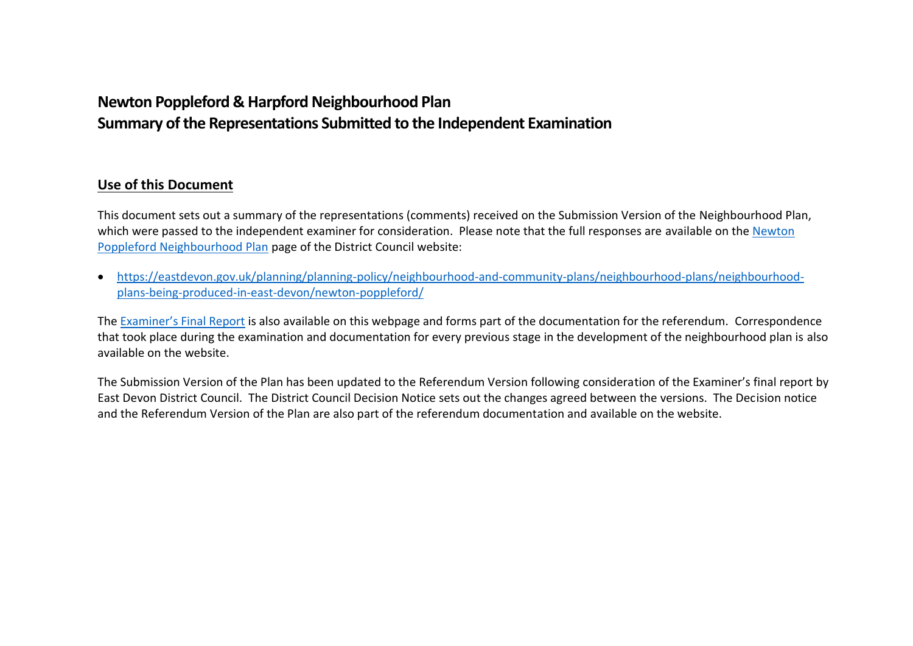# **Newton Poppleford & Harpford Neighbourhood Plan Summary of the Representations Submitted to the Independent Examination**

## **Use of this Document**

This document sets out a summary of the representations (comments) received on the Submission Version of the Neighbourhood Plan, which were passed to the independent examiner for consideration. Please note that the full responses are available on the Newton [Poppleford Neighbourhood Plan](https://eastdevon.gov.uk/planning/planning-policy/neighbourhood-and-community-plans/neighbourhood-plans/neighbourhood-plans-being-produced-in-east-devon/newton-poppleford/) page of the District Council website:

 [https://eastdevon.gov.uk/planning/planning-policy/neighbourhood-and-community-plans/neighbourhood-plans/neighbourhood](https://eastdevon.gov.uk/planning/planning-policy/neighbourhood-and-community-plans/neighbourhood-plans/neighbourhood-plans-being-produced-in-east-devon/newton-poppleford/)[plans-being-produced-in-east-devon/newton-poppleford/](https://eastdevon.gov.uk/planning/planning-policy/neighbourhood-and-community-plans/neighbourhood-plans/neighbourhood-plans-being-produced-in-east-devon/newton-poppleford/)

The [Examiner's Final Report](https://eastdevon.gov.uk/media/3721365/examiners-final-report-newton-poppleford-accessible-version.pdf) is also available on this webpage and forms part of the documentation for the referendum. Correspondence that took place during the examination and documentation for every previous stage in the development of the neighbourhood plan is also available on the website.

The Submission Version of the Plan has been updated to the Referendum Version following consideration of the Examiner's final report by East Devon District Council. The District Council Decision Notice sets out the changes agreed between the versions. The Decision notice and the Referendum Version of the Plan are also part of the referendum documentation and available on the website.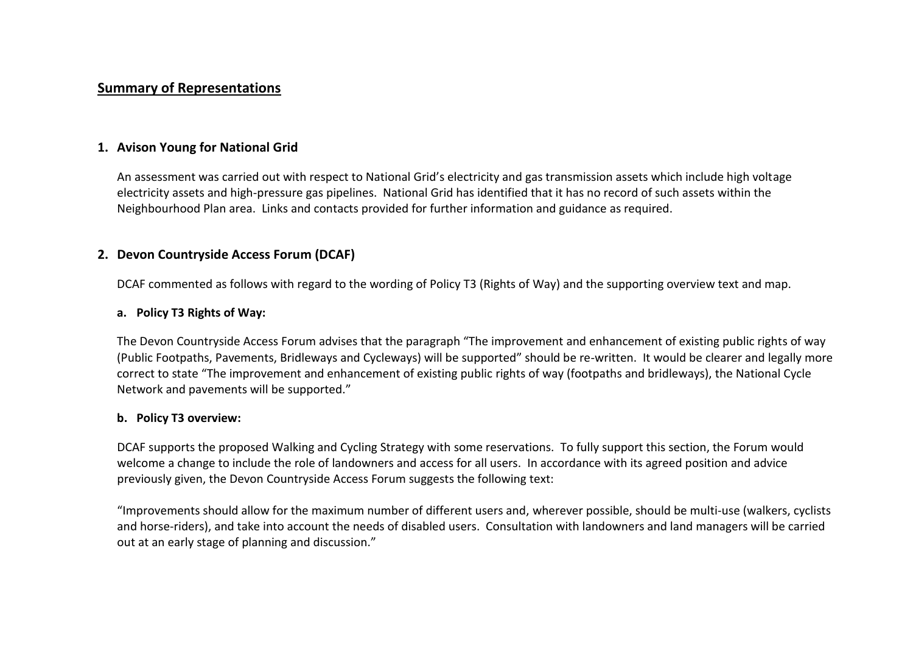## **Summary of Representations**

## **1. Avison Young for National Grid**

An assessment was carried out with respect to National Grid's electricity and gas transmission assets which include high voltage electricity assets and high-pressure gas pipelines. National Grid has identified that it has no record of such assets within the Neighbourhood Plan area. Links and contacts provided for further information and guidance as required.

## **2. Devon Countryside Access Forum (DCAF)**

DCAF commented as follows with regard to the wording of Policy T3 (Rights of Way) and the supporting overview text and map.

#### **a. Policy T3 Rights of Way:**

The Devon Countryside Access Forum advises that the paragraph "The improvement and enhancement of existing public rights of way (Public Footpaths, Pavements, Bridleways and Cycleways) will be supported" should be re-written. It would be clearer and legally more correct to state "The improvement and enhancement of existing public rights of way (footpaths and bridleways), the National Cycle Network and pavements will be supported."

#### **b. Policy T3 overview:**

DCAF supports the proposed Walking and Cycling Strategy with some reservations. To fully support this section, the Forum would welcome a change to include the role of landowners and access for all users. In accordance with its agreed position and advice previously given, the Devon Countryside Access Forum suggests the following text:

"Improvements should allow for the maximum number of different users and, wherever possible, should be multi-use (walkers, cyclists and horse-riders), and take into account the needs of disabled users. Consultation with landowners and land managers will be carried out at an early stage of planning and discussion."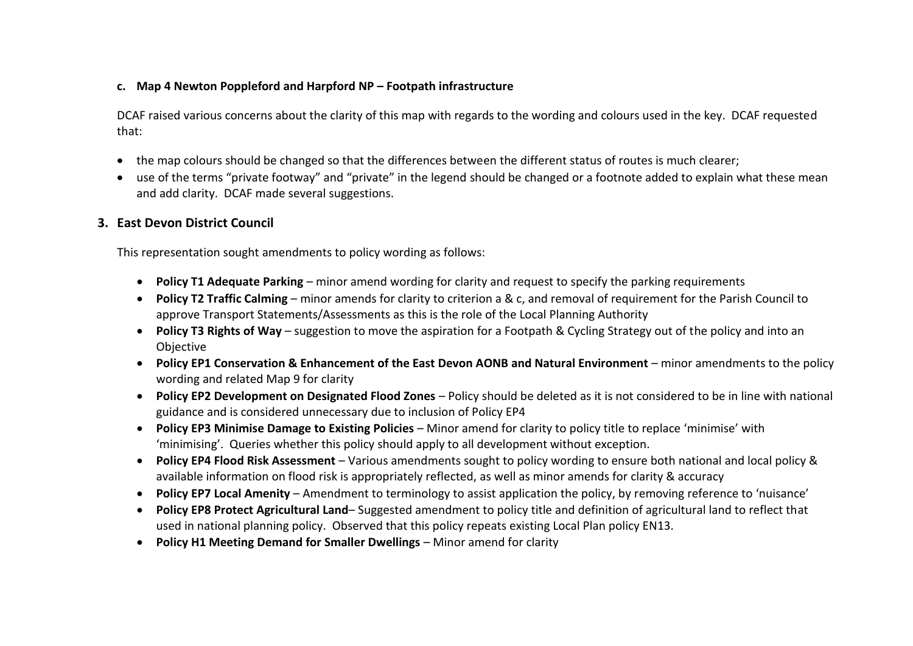## **c. Map 4 Newton Poppleford and Harpford NP – Footpath infrastructure**

DCAF raised various concerns about the clarity of this map with regards to the wording and colours used in the key. DCAF requested that:

- the map colours should be changed so that the differences between the different status of routes is much clearer;
- use of the terms "private footway" and "private" in the legend should be changed or a footnote added to explain what these mean and add clarity. DCAF made several suggestions.

## **3. East Devon District Council**

This representation sought amendments to policy wording as follows:

- **Policy T1 Adequate Parking** minor amend wording for clarity and request to specify the parking requirements
- **Policy T2 Traffic Calming** minor amends for clarity to criterion a & c, and removal of requirement for the Parish Council to approve Transport Statements/Assessments as this is the role of the Local Planning Authority
- **Policy T3 Rights of Way** suggestion to move the aspiration for a Footpath & Cycling Strategy out of the policy and into an Objective
- **Policy EP1 Conservation & Enhancement of the East Devon AONB and Natural Environment** minor amendments to the policy wording and related Map 9 for clarity
- **Policy EP2 Development on Designated Flood Zones** Policy should be deleted as it is not considered to be in line with national guidance and is considered unnecessary due to inclusion of Policy EP4
- **Policy EP3 Minimise Damage to Existing Policies** Minor amend for clarity to policy title to replace 'minimise' with 'minimising'. Queries whether this policy should apply to all development without exception.
- **Policy EP4 Flood Risk Assessment** Various amendments sought to policy wording to ensure both national and local policy & available information on flood risk is appropriately reflected, as well as minor amends for clarity & accuracy
- **Policy EP7 Local Amenity** Amendment to terminology to assist application the policy, by removing reference to 'nuisance'
- **Policy EP8 Protect Agricultural Land** Suggested amendment to policy title and definition of agricultural land to reflect that used in national planning policy. Observed that this policy repeats existing Local Plan policy EN13.
- **Policy H1 Meeting Demand for Smaller Dwellings** Minor amend for clarity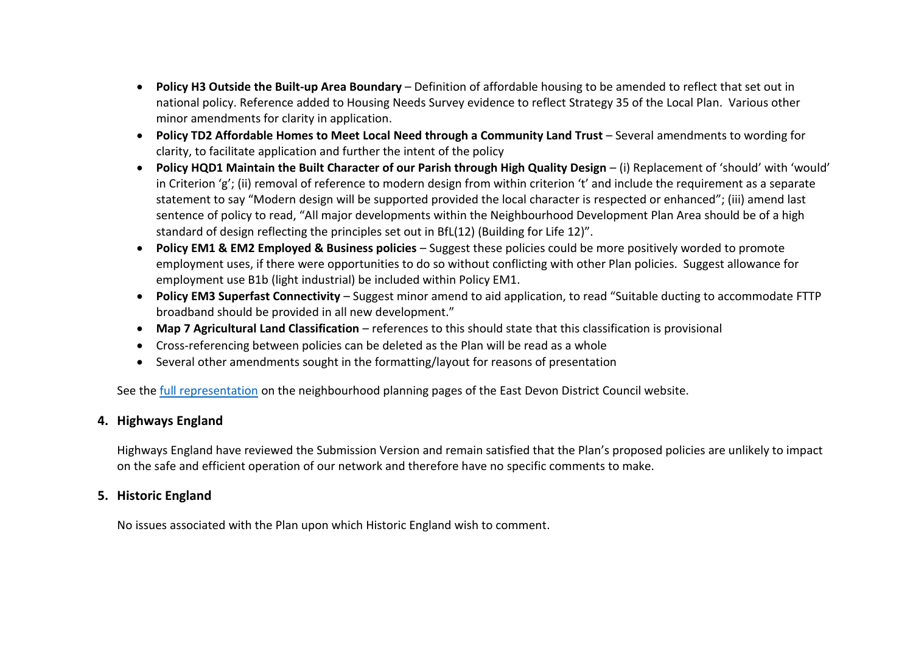- **Policy H3 Outside the Built-up Area Boundary** Definition of affordable housing to be amended to reflect that set out in national policy. Reference added to Housing Needs Survey evidence to reflect Strategy 35 of the Local Plan. Various other minor amendments for clarity in application.
- **Policy TD2 Affordable Homes to Meet Local Need through a Community Land Trust** Several amendments to wording for clarity, to facilitate application and further the intent of the policy
- **Policy HQD1 Maintain the Built Character of our Parish through High Quality Design** (i) Replacement of 'should' with 'would' in Criterion 'g'; (ii) removal of reference to modern design from within criterion 't' and include the requirement as a separate statement to say "Modern design will be supported provided the local character is respected or enhanced"; (iii) amend last sentence of policy to read, "All major developments within the Neighbourhood Development Plan Area should be of a high standard of design reflecting the principles set out in BfL(12) (Building for Life 12)".
- **Policy EM1 & EM2 Employed & Business policies** Suggest these policies could be more positively worded to promote employment uses, if there were opportunities to do so without conflicting with other Plan policies. Suggest allowance for employment use B1b (light industrial) be included within Policy EM1.
- **Policy EM3 Superfast Connectivity** Suggest minor amend to aid application, to read "Suitable ducting to accommodate FTTP broadband should be provided in all new development."
- **Map 7 Agricultural Land Classification** references to this should state that this classification is provisional
- Cross-referencing between policies can be deleted as the Plan will be read as a whole
- Several other amendments sought in the formatting/layout for reasons of presentation

See the [full representation](https://eastdevon.gov.uk/media/3720566/east-devon-district-council-comments.pdf) on the neighbourhood planning pages of the East Devon District Council website.

## **4. Highways England**

Highways England have reviewed the Submission Version and remain satisfied that the Plan's proposed policies are unlikely to impact on the safe and efficient operation of our network and therefore have no specific comments to make.

## **5. Historic England**

No issues associated with the Plan upon which Historic England wish to comment.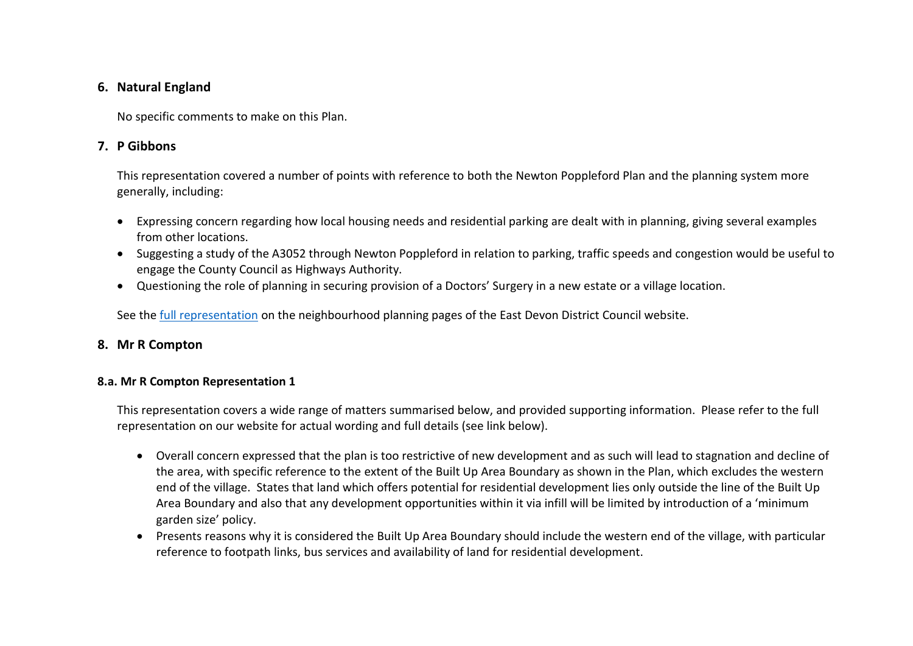## **6. Natural England**

No specific comments to make on this Plan.

## **7. P Gibbons**

This representation covered a number of points with reference to both the Newton Poppleford Plan and the planning system more generally, including:

- Expressing concern regarding how local housing needs and residential parking are dealt with in planning, giving several examples from other locations.
- Suggesting a study of the A3052 through Newton Poppleford in relation to parking, traffic speeds and congestion would be useful to engage the County Council as Highways Authority.
- Questioning the role of planning in securing provision of a Doctors' Surgery in a new estate or a village location.

See the [full representation](p-gibbons.pdf%20(eastdevon.gov.uk)) on the neighbourhood planning pages of the East Devon District Council website.

## **8. Mr R Compton**

## **8.a. Mr R Compton Representation 1**

This representation covers a wide range of matters summarised below, and provided supporting information. Please refer to the full representation on our website for actual wording and full details (see link below).

- Overall concern expressed that the plan is too restrictive of new development and as such will lead to stagnation and decline of the area, with specific reference to the extent of the Built Up Area Boundary as shown in the Plan, which excludes the western end of the village. States that land which offers potential for residential development lies only outside the line of the Built Up Area Boundary and also that any development opportunities within it via infill will be limited by introduction of a 'minimum garden size' policy.
- Presents reasons why it is considered the Built Up Area Boundary should include the western end of the village, with particular reference to footpath links, bus services and availability of land for residential development.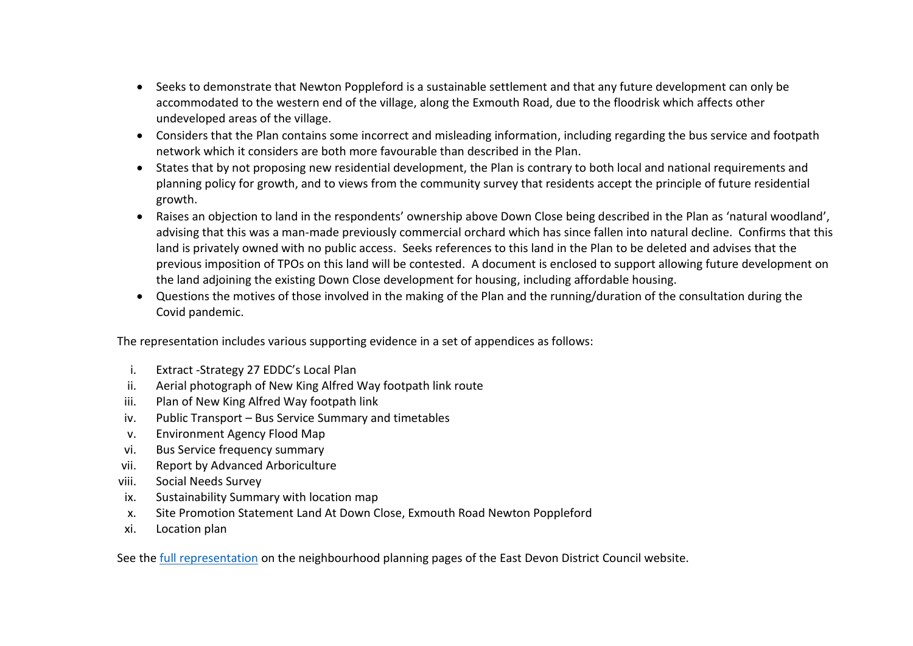- Seeks to demonstrate that Newton Poppleford is a sustainable settlement and that any future development can only be accommodated to the western end of the village, along the Exmouth Road, due to the floodrisk which affects other undeveloped areas of the village.
- Considers that the Plan contains some incorrect and misleading information, including regarding the bus service and footpath network which it considers are both more favourable than described in the Plan.
- States that by not proposing new residential development, the Plan is contrary to both local and national requirements and planning policy for growth, and to views from the community survey that residents accept the principle of future residential growth.
- Raises an objection to land in the respondents' ownership above Down Close being described in the Plan as 'natural woodland', advising that this was a man-made previously commercial orchard which has since fallen into natural decline. Confirms that this land is privately owned with no public access. Seeks references to this land in the Plan to be deleted and advises that the previous imposition of TPOs on this land will be contested. A document is enclosed to support allowing future development on the land adjoining the existing Down Close development for housing, including affordable housing.
- Questions the motives of those involved in the making of the Plan and the running/duration of the consultation during the Covid pandemic.

The representation includes various supporting evidence in a set of appendices as follows:

- i. Extract -Strategy 27 EDDC's Local Plan
- ii. Aerial photograph of New King Alfred Way footpath link route
- iii. Plan of New King Alfred Way footpath link
- iv. Public Transport Bus Service Summary and timetables
- v. Environment Agency Flood Map
- vi. Bus Service frequency summary
- vii. Report by Advanced Arboriculture
- viii. Social Needs Survey
- ix. Sustainability Summary with location map
- x. Site Promotion Statement Land At Down Close, Exmouth Road Newton Poppleford
- xi. Location plan

See the [full representation](https://eastdevon.gov.uk/media/3720643/r-g-compton.pdf) on the neighbourhood planning pages of the East Devon District Council website.